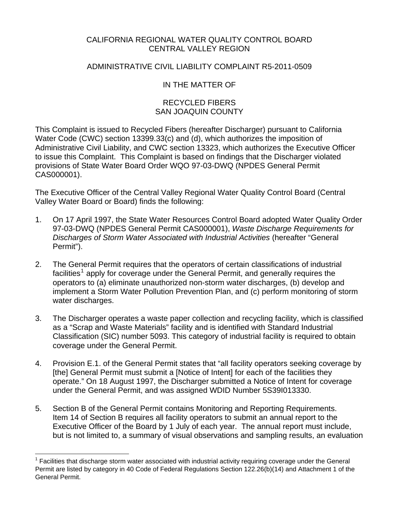# CALIFORNIA REGIONAL WATER QUALITY CONTROL BOARD CENTRAL VALLEY REGION

# ADMINISTRATIVE CIVIL LIABILITY COMPLAINT R5-2011-0509

# IN THE MATTER OF

# RECYCLED FIBERS SAN JOAQUIN COUNTY

This Complaint is issued to Recycled Fibers (hereafter Discharger) pursuant to California Water Code (CWC) section 13399.33(c) and (d), which authorizes the imposition of Administrative Civil Liability, and CWC section 13323, which authorizes the Executive Officer to issue this Complaint. This Complaint is based on findings that the Discharger violated provisions of State Water Board Order WQO 97-03-DWQ (NPDES General Permit CAS000001).

The Executive Officer of the Central Valley Regional Water Quality Control Board (Central Valley Water Board or Board) finds the following:

- 1. On 17 April 1997, the State Water Resources Control Board adopted Water Quality Order 97-03-DWQ (NPDES General Permit CAS000001), *Waste Discharge Requirements for Discharges of Storm Water Associated with Industrial Activities* (hereafter "General Permit").
- 2. The General Permit requires that the operators of certain classifications of industrial facilities<sup>[1](#page-0-0)</sup> apply for coverage under the General Permit, and generally requires the operators to (a) eliminate unauthorized non-storm water discharges, (b) develop and implement a Storm Water Pollution Prevention Plan, and (c) perform monitoring of storm water discharges.
- 3. The Discharger operates a waste paper collection and recycling facility, which is classified as a "Scrap and Waste Materials" facility and is identified with Standard Industrial Classification (SIC) number 5093. This category of industrial facility is required to obtain coverage under the General Permit.
- 4. Provision E.1. of the General Permit states that "all facility operators seeking coverage by [the] General Permit must submit a [Notice of Intent] for each of the facilities they operate." On 18 August 1997, the Discharger submitted a Notice of Intent for coverage under the General Permit, and was assigned WDID Number 5S39I013330.
- 5. Section B of the General Permit contains Monitoring and Reporting Requirements. Item 14 of Section B requires all facility operators to submit an annual report to the Executive Officer of the Board by 1 July of each year. The annual report must include, but is not limited to, a summary of visual observations and sampling results, an evaluation

<u>.</u>

<span id="page-0-0"></span><sup>1</sup> Facilities that discharge storm water associated with industrial activity requiring coverage under the General Permit are listed by category in 40 Code of Federal Regulations Section 122.26(b)(14) and Attachment 1 of the General Permit.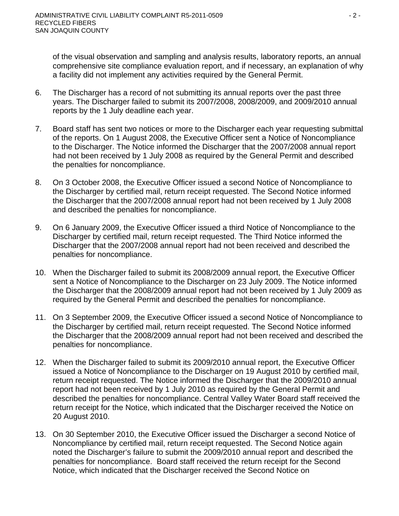of the visual observation and sampling and analysis results, laboratory reports, an annual comprehensive site compliance evaluation report, and if necessary, an explanation of why a facility did not implement any activities required by the General Permit.

- 6. The Discharger has a record of not submitting its annual reports over the past three years. The Discharger failed to submit its 2007/2008, 2008/2009, and 2009/2010 annual reports by the 1 July deadline each year.
- 7. Board staff has sent two notices or more to the Discharger each year requesting submittal of the reports. On 1 August 2008, the Executive Officer sent a Notice of Noncompliance to the Discharger. The Notice informed the Discharger that the 2007/2008 annual report had not been received by 1 July 2008 as required by the General Permit and described the penalties for noncompliance.
- 8. On 3 October 2008, the Executive Officer issued a second Notice of Noncompliance to the Discharger by certified mail, return receipt requested. The Second Notice informed the Discharger that the 2007/2008 annual report had not been received by 1 July 2008 and described the penalties for noncompliance.
- 9. On 6 January 2009, the Executive Officer issued a third Notice of Noncompliance to the Discharger by certified mail, return receipt requested. The Third Notice informed the Discharger that the 2007/2008 annual report had not been received and described the penalties for noncompliance.
- 10. When the Discharger failed to submit its 2008/2009 annual report, the Executive Officer sent a Notice of Noncompliance to the Discharger on 23 July 2009. The Notice informed the Discharger that the 2008/2009 annual report had not been received by 1 July 2009 as required by the General Permit and described the penalties for noncompliance.
- 11. On 3 September 2009, the Executive Officer issued a second Notice of Noncompliance to the Discharger by certified mail, return receipt requested. The Second Notice informed the Discharger that the 2008/2009 annual report had not been received and described the penalties for noncompliance.
- 12. When the Discharger failed to submit its 2009/2010 annual report, the Executive Officer issued a Notice of Noncompliance to the Discharger on 19 August 2010 by certified mail, return receipt requested. The Notice informed the Discharger that the 2009/2010 annual report had not been received by 1 July 2010 as required by the General Permit and described the penalties for noncompliance. Central Valley Water Board staff received the return receipt for the Notice, which indicated that the Discharger received the Notice on 20 August 2010.
- 13. On 30 September 2010, the Executive Officer issued the Discharger a second Notice of Noncompliance by certified mail, return receipt requested. The Second Notice again noted the Discharger's failure to submit the 2009/2010 annual report and described the penalties for noncompliance. Board staff received the return receipt for the Second Notice, which indicated that the Discharger received the Second Notice on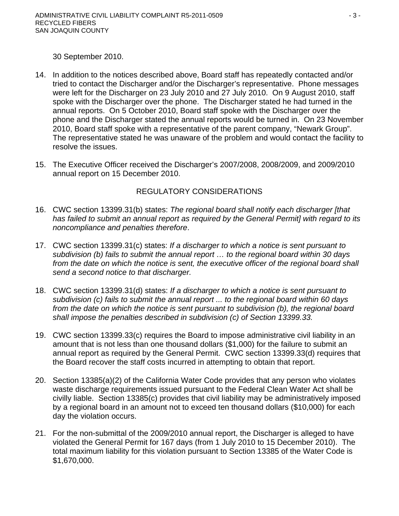30 September 2010.

- 14. In addition to the notices described above, Board staff has repeatedly contacted and/or tried to contact the Discharger and/or the Discharger's representative. Phone messages were left for the Discharger on 23 July 2010 and 27 July 2010. On 9 August 2010, staff spoke with the Discharger over the phone. The Discharger stated he had turned in the annual reports. On 5 October 2010, Board staff spoke with the Discharger over the phone and the Discharger stated the annual reports would be turned in. On 23 November 2010, Board staff spoke with a representative of the parent company, "Newark Group". The representative stated he was unaware of the problem and would contact the facility to resolve the issues.
- 15. The Executive Officer received the Discharger's 2007/2008, 2008/2009, and 2009/2010 annual report on 15 December 2010.

# REGULATORY CONSIDERATIONS

- 16. CWC section 13399.31(b) states: *The regional board shall notify each discharger [that has failed to submit an annual report as required by the General Permit] with regard to its noncompliance and penalties therefore*.
- 17. CWC section 13399.31(c) states: *If a discharger to which a notice is sent pursuant to subdivision (b) fails to submit the annual report … to the regional board within 30 days*  from the date on which the notice is sent, the executive officer of the regional board shall *send a second notice to that discharger.*
- 18. CWC section 13399.31(d) states: *If a discharger to which a notice is sent pursuant to subdivision (c) fails to submit the annual report ... to the regional board within 60 days from the date on which the notice is sent pursuant to subdivision (b), the regional board shall impose the penalties described in subdivision (c) of Section 13399.33.*
- 19. CWC section 13399.33(c) requires the Board to impose administrative civil liability in an amount that is not less than one thousand dollars (\$1,000) for the failure to submit an annual report as required by the General Permit. CWC section 13399.33(d) requires that the Board recover the staff costs incurred in attempting to obtain that report.
- 20. Section 13385(a)(2) of the California Water Code provides that any person who violates waste discharge requirements issued pursuant to the Federal Clean Water Act shall be civilly liable. Section 13385(c) provides that civil liability may be administratively imposed by a regional board in an amount not to exceed ten thousand dollars (\$10,000) for each day the violation occurs.
- 21. For the non-submittal of the 2009/2010 annual report, the Discharger is alleged to have violated the General Permit for 167 days (from 1 July 2010 to 15 December 2010). The total maximum liability for this violation pursuant to Section 13385 of the Water Code is \$1,670,000.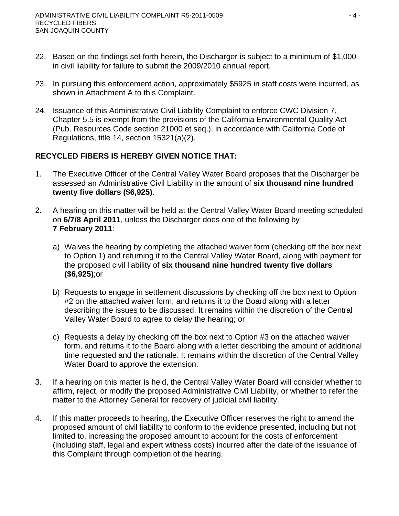- 22. Based on the findings set forth herein, the Discharger is subject to a minimum of \$1,000 in civil liability for failure to submit the 2009/2010 annual report.
- 23. In pursuing this enforcement action, approximately \$5925 in staff costs were incurred, as shown in Attachment A to this Complaint.
- 24. Issuance of this Administrative Civil Liability Complaint to enforce CWC Division 7, Chapter 5.5 is exempt from the provisions of the California Environmental Quality Act (Pub. Resources Code section 21000 et seq.), in accordance with California Code of Regulations, title 14, section 15321(a)(2).

# **RECYCLED FIBERS IS HEREBY GIVEN NOTICE THAT:**

- 1. The Executive Officer of the Central Valley Water Board proposes that the Discharger be assessed an Administrative Civil Liability in the amount of **six thousand nine hundred twenty five dollars (\$6,925)**.
- 2. A hearing on this matter will be held at the Central Valley Water Board meeting scheduled on **6/7/8 April 2011**, unless the Discharger does one of the following by **7 February 2011**:
	- a) Waives the hearing by completing the attached waiver form (checking off the box next to Option 1) and returning it to the Central Valley Water Board, along with payment for the proposed civil liability of **six thousand nine hundred twenty five dollars (\$6,925)**;or
	- b) Requests to engage in settlement discussions by checking off the box next to Option #2 on the attached waiver form, and returns it to the Board along with a letter describing the issues to be discussed. It remains within the discretion of the Central Valley Water Board to agree to delay the hearing; or
	- c) Requests a delay by checking off the box next to Option #3 on the attached waiver form, and returns it to the Board along with a letter describing the amount of additional time requested and the rationale. It remains within the discretion of the Central Valley Water Board to approve the extension.
- 3. If a hearing on this matter is held, the Central Valley Water Board will consider whether to affirm, reject, or modify the proposed Administrative Civil Liability, or whether to refer the matter to the Attorney General for recovery of judicial civil liability.
- 4. If this matter proceeds to hearing, the Executive Officer reserves the right to amend the proposed amount of civil liability to conform to the evidence presented, including but not limited to, increasing the proposed amount to account for the costs of enforcement (including staff, legal and expert witness costs) incurred after the date of the issuance of this Complaint through completion of the hearing.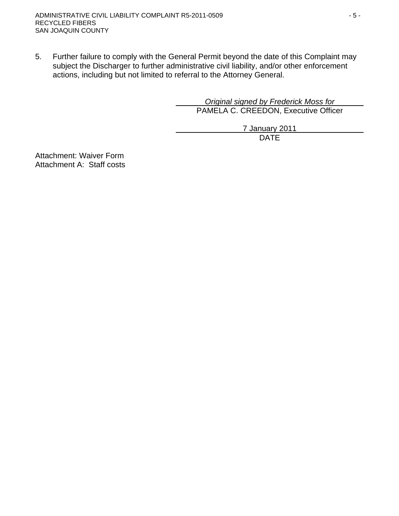5. Further failure to comply with the General Permit beyond the date of this Complaint may subject the Discharger to further administrative civil liability, and/or other enforcement actions, including but not limited to referral to the Attorney General.

> *Original signed by Frederick Moss for*  PAMELA C. CREEDON, Executive Officer

7 January 2011 design and the contract of the contract of the DATE of the contract of the contract of the contract of the contract of the contract of the contract of the contract of the contract of the contract of the contract of the con

Attachment: Waiver Form Attachment A: Staff costs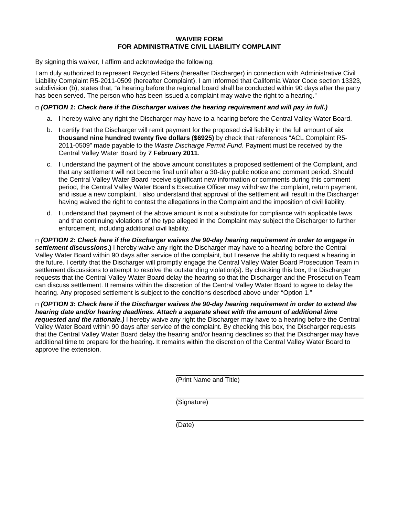#### **WAIVER FORM FOR ADMINISTRATIVE CIVIL LIABILITY COMPLAINT**

By signing this waiver, I affirm and acknowledge the following:

I am duly authorized to represent Recycled Fibers (hereafter Discharger) in connection with Administrative Civil Liability Complaint R5-2011-0509 (hereafter Complaint). I am informed that California Water Code section 13323, subdivision (b), states that, "a hearing before the regional board shall be conducted within 90 days after the party has been served. The person who has been issued a complaint may waive the right to a hearing."

#### **□** *(OPTION 1: Check here if the Discharger waives the hearing requirement and will pay in full.)*

- a. I hereby waive any right the Discharger may have to a hearing before the Central Valley Water Board.
- b. I certify that the Discharger will remit payment for the proposed civil liability in the full amount of **six thousand nine hundred twenty five dollars (\$6925)** by check that references "ACL Complaint R5- 2011-0509" made payable to the *Waste Discharge Permit Fund*. Payment must be received by the Central Valley Water Board by **7 February 2011**.
- c. I understand the payment of the above amount constitutes a proposed settlement of the Complaint, and that any settlement will not become final until after a 30-day public notice and comment period. Should the Central Valley Water Board receive significant new information or comments during this comment period, the Central Valley Water Board's Executive Officer may withdraw the complaint, return payment, and issue a new complaint. I also understand that approval of the settlement will result in the Discharger having waived the right to contest the allegations in the Complaint and the imposition of civil liability.
- d. I understand that payment of the above amount is not a substitute for compliance with applicable laws and that continuing violations of the type alleged in the Complaint may subject the Discharger to further enforcement, including additional civil liability.

**□** *(OPTION 2: Check here if the Discharger waives the 90-day hearing requirement in order to engage in settlement discussions***.)** I hereby waive any right the Discharger may have to a hearing before the Central Valley Water Board within 90 days after service of the complaint, but I reserve the ability to request a hearing in the future. I certify that the Discharger will promptly engage the Central Valley Water Board Prosecution Team in settlement discussions to attempt to resolve the outstanding violation(s). By checking this box, the Discharger requests that the Central Valley Water Board delay the hearing so that the Discharger and the Prosecution Team can discuss settlement. It remains within the discretion of the Central Valley Water Board to agree to delay the hearing. Any proposed settlement is subject to the conditions described above under "Option 1."

**□** *(OPTION 3: Check here if the Discharger waives the 90-day hearing requirement in order to extend the hearing date and/or hearing deadlines. Attach a separate sheet with the amount of additional time requested and the rationale.)* I hereby waive any right the Discharger may have to a hearing before the Central Valley Water Board within 90 days after service of the complaint. By checking this box, the Discharger requests that the Central Valley Water Board delay the hearing and/or hearing deadlines so that the Discharger may have additional time to prepare for the hearing. It remains within the discretion of the Central Valley Water Board to approve the extension.

(Print Name and Title)

(Signature)

(Date)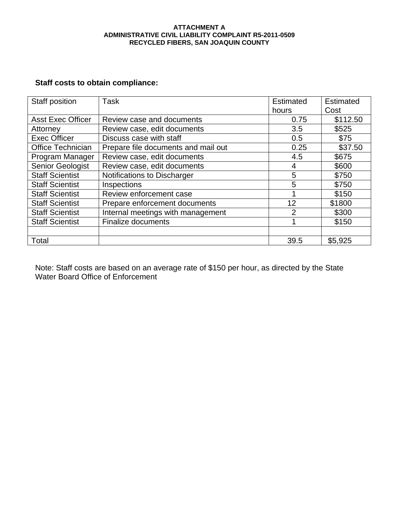#### **ATTACHMENT A ADMINISTRATIVE CIVIL LIABILITY COMPLAINT R5-2011-0509 RECYCLED FIBERS, SAN JOAQUIN COUNTY**

# **Staff costs to obtain compliance:**

| Staff position           | Task                                | <b>Estimated</b><br>hours | <b>Estimated</b><br>Cost |
|--------------------------|-------------------------------------|---------------------------|--------------------------|
| <b>Asst Exec Officer</b> | Review case and documents           | 0.75                      | \$112.50                 |
| Attorney                 | Review case, edit documents         | 3.5                       | \$525                    |
| <b>Exec Officer</b>      | Discuss case with staff             | 0.5                       | \$75                     |
| Office Technician        | Prepare file documents and mail out | 0.25                      | \$37.50                  |
| Program Manager          | Review case, edit documents         | 4.5                       | \$675                    |
| Senior Geologist         | Review case, edit documents         | 4                         | \$600                    |
| <b>Staff Scientist</b>   | Notifications to Discharger         | 5                         | \$750                    |
| <b>Staff Scientist</b>   | Inspections                         | 5                         | \$750                    |
| <b>Staff Scientist</b>   | Review enforcement case             |                           | \$150                    |
| <b>Staff Scientist</b>   | Prepare enforcement documents       | 12                        | \$1800                   |
| <b>Staff Scientist</b>   | Internal meetings with management   | 2                         | \$300                    |
| <b>Staff Scientist</b>   | <b>Finalize documents</b>           |                           | \$150                    |
|                          |                                     |                           |                          |
| Total                    |                                     | 39.5                      | \$5,925                  |

Note: Staff costs are based on an average rate of \$150 per hour, as directed by the State Water Board Office of Enforcement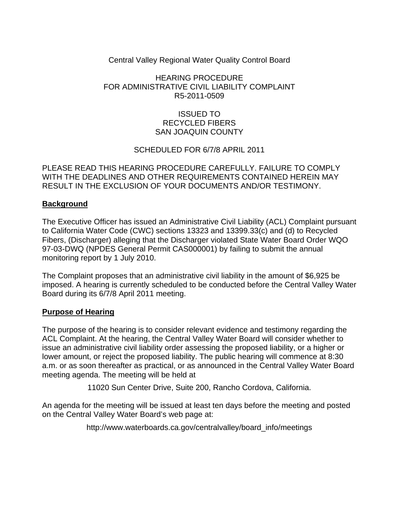## Central Valley Regional Water Quality Control Board

# HEARING PROCEDURE FOR ADMINISTRATIVE CIVIL LIABILITY COMPLAINT R5-2011-0509

# ISSUED TO RECYCLED FIBERS SAN JOAQUIN COUNTY

## SCHEDULED FOR 6/7/8 APRIL 2011

PLEASE READ THIS HEARING PROCEDURE CAREFULLY. FAILURE TO COMPLY WITH THE DEADLINES AND OTHER REQUIREMENTS CONTAINED HEREIN MAY RESULT IN THE EXCLUSION OF YOUR DOCUMENTS AND/OR TESTIMONY.

## **Background**

The Executive Officer has issued an Administrative Civil Liability (ACL) Complaint pursuant to California Water Code (CWC) sections 13323 and 13399.33(c) and (d) to Recycled Fibers, (Discharger) alleging that the Discharger violated State Water Board Order WQO 97-03-DWQ (NPDES General Permit CAS000001) by failing to submit the annual monitoring report by 1 July 2010.

The Complaint proposes that an administrative civil liability in the amount of \$6,925 be imposed. A hearing is currently scheduled to be conducted before the Central Valley Water Board during its 6/7/8 April 2011 meeting.

#### **Purpose of Hearing**

The purpose of the hearing is to consider relevant evidence and testimony regarding the ACL Complaint. At the hearing, the Central Valley Water Board will consider whether to issue an administrative civil liability order assessing the proposed liability, or a higher or lower amount, or reject the proposed liability. The public hearing will commence at 8:30 a.m. or as soon thereafter as practical, or as announced in the Central Valley Water Board meeting agenda. The meeting will be held at

11020 Sun Center Drive, Suite 200, Rancho Cordova, California.

An agenda for the meeting will be issued at least ten days before the meeting and posted on the Central Valley Water Board's web page at:

http://www.waterboards.ca.gov/centralvalley/board\_info/meetings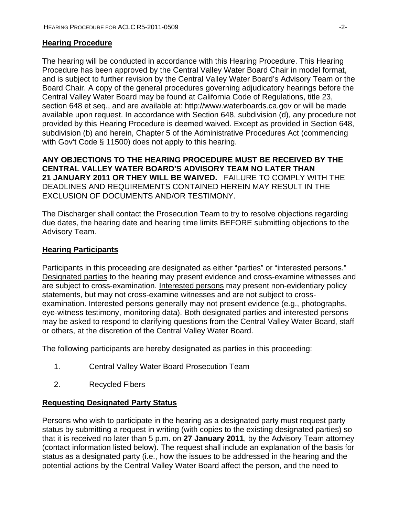#### **Hearing Procedure**

The hearing will be conducted in accordance with this Hearing Procedure. This Hearing Procedure has been approved by the Central Valley Water Board Chair in model format, and is subject to further revision by the Central Valley Water Board's Advisory Team or the Board Chair. A copy of the general procedures governing adjudicatory hearings before the Central Valley Water Board may be found at California Code of Regulations, title 23, section 648 et seq., and are available at: http://www.waterboards.ca.gov or will be made available upon request. In accordance with Section 648, subdivision (d), any procedure not provided by this Hearing Procedure is deemed waived. Except as provided in Section 648, subdivision (b) and herein, Chapter 5 of the Administrative Procedures Act (commencing with Gov't Code § 11500) does not apply to this hearing.

**ANY OBJECTIONS TO THE HEARING PROCEDURE MUST BE RECEIVED BY THE CENTRAL VALLEY WATER BOARD'S ADVISORY TEAM NO LATER THAN 21 JANUARY 2011 OR THEY WILL BE WAIVED.** FAILURE TO COMPLY WITH THE DEADLINES AND REQUIREMENTS CONTAINED HEREIN MAY RESULT IN THE EXCLUSION OF DOCUMENTS AND/OR TESTIMONY.

The Discharger shall contact the Prosecution Team to try to resolve objections regarding due dates, the hearing date and hearing time limits BEFORE submitting objections to the Advisory Team.

## **Hearing Participants**

Participants in this proceeding are designated as either "parties" or "interested persons." Designated parties to the hearing may present evidence and cross-examine witnesses and are subject to cross-examination. Interested persons may present non-evidentiary policy statements, but may not cross-examine witnesses and are not subject to crossexamination. Interested persons generally may not present evidence (e.g., photographs, eye-witness testimony, monitoring data). Both designated parties and interested persons may be asked to respond to clarifying questions from the Central Valley Water Board, staff or others, at the discretion of the Central Valley Water Board.

The following participants are hereby designated as parties in this proceeding:

- 1. Central Valley Water Board Prosecution Team
- 2. Recycled Fibers

#### **Requesting Designated Party Status**

Persons who wish to participate in the hearing as a designated party must request party status by submitting a request in writing (with copies to the existing designated parties) so that it is received no later than 5 p.m. on **27 January 2011**, by the Advisory Team attorney (contact information listed below). The request shall include an explanation of the basis for status as a designated party (i.e., how the issues to be addressed in the hearing and the potential actions by the Central Valley Water Board affect the person, and the need to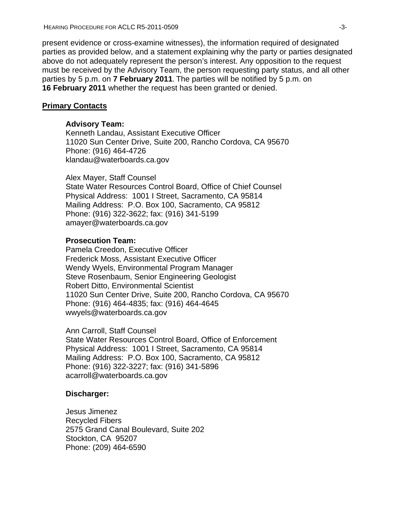present evidence or cross-examine witnesses), the information required of designated parties as provided below, and a statement explaining why the party or parties designated above do not adequately represent the person's interest. Any opposition to the request must be received by the Advisory Team, the person requesting party status, and all other parties by 5 p.m. on **7 February 2011**. The parties will be notified by 5 p.m. on **16 February 2011** whether the request has been granted or denied.

#### **Primary Contacts**

#### **Advisory Team:**

Kenneth Landau, Assistant Executive Officer 11020 Sun Center Drive, Suite 200, Rancho Cordova, CA 95670 Phone: (916) 464-4726 klandau@waterboards.ca.gov

Alex Mayer, Staff Counsel State Water Resources Control Board, Office of Chief Counsel Physical Address: 1001 I Street, Sacramento, CA 95814 Mailing Address: P.O. Box 100, Sacramento, CA 95812 Phone: (916) 322-3622; fax: (916) 341-5199 amayer@waterboards.ca.gov

#### **Prosecution Team:**

Pamela Creedon, Executive Officer Frederick Moss, Assistant Executive Officer Wendy Wyels, Environmental Program Manager Steve Rosenbaum, Senior Engineering Geologist Robert Ditto, Environmental Scientist 11020 Sun Center Drive, Suite 200, Rancho Cordova, CA 95670 Phone: (916) 464-4835; fax: (916) 464-4645 wwyels@waterboards.ca.gov

Ann Carroll, Staff Counsel State Water Resources Control Board, Office of Enforcement Physical Address: 1001 I Street, Sacramento, CA 95814 Mailing Address: P.O. Box 100, Sacramento, CA 95812 Phone: (916) 322-3227; fax: (916) 341-5896 acarroll@waterboards.ca.gov

#### **Discharger:**

Jesus Jimenez Recycled Fibers 2575 Grand Canal Boulevard, Suite 202 Stockton, CA 95207 Phone: (209) 464-6590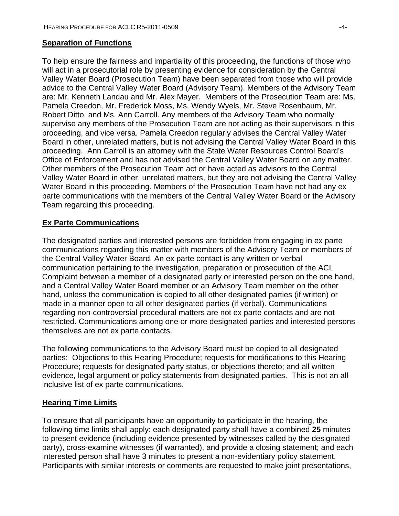#### **Separation of Functions**

To help ensure the fairness and impartiality of this proceeding, the functions of those who will act in a prosecutorial role by presenting evidence for consideration by the Central Valley Water Board (Prosecution Team) have been separated from those who will provide advice to the Central Valley Water Board (Advisory Team). Members of the Advisory Team are: Mr. Kenneth Landau and Mr. Alex Mayer. Members of the Prosecution Team are: Ms. Pamela Creedon, Mr. Frederick Moss, Ms. Wendy Wyels, Mr. Steve Rosenbaum, Mr. Robert Ditto, and Ms. Ann Carroll. Any members of the Advisory Team who normally supervise any members of the Prosecution Team are not acting as their supervisors in this proceeding, and vice versa. Pamela Creedon regularly advises the Central Valley Water Board in other, unrelated matters, but is not advising the Central Valley Water Board in this proceeding. Ann Carroll is an attorney with the State Water Resources Control Board's Office of Enforcement and has not advised the Central Valley Water Board on any matter. Other members of the Prosecution Team act or have acted as advisors to the Central Valley Water Board in other, unrelated matters, but they are not advising the Central Valley Water Board in this proceeding. Members of the Prosecution Team have not had any ex parte communications with the members of the Central Valley Water Board or the Advisory Team regarding this proceeding.

## **Ex Parte Communications**

The designated parties and interested persons are forbidden from engaging in ex parte communications regarding this matter with members of the Advisory Team or members of the Central Valley Water Board. An ex parte contact is any written or verbal communication pertaining to the investigation, preparation or prosecution of the ACL Complaint between a member of a designated party or interested person on the one hand, and a Central Valley Water Board member or an Advisory Team member on the other hand, unless the communication is copied to all other designated parties (if written) or made in a manner open to all other designated parties (if verbal). Communications regarding non-controversial procedural matters are not ex parte contacts and are not restricted. Communications among one or more designated parties and interested persons themselves are not ex parte contacts.

The following communications to the Advisory Board must be copied to all designated parties: Objections to this Hearing Procedure; requests for modifications to this Hearing Procedure; requests for designated party status, or objections thereto; and all written evidence, legal argument or policy statements from designated parties. This is not an allinclusive list of ex parte communications.

## **Hearing Time Limits**

To ensure that all participants have an opportunity to participate in the hearing, the following time limits shall apply: each designated party shall have a combined **25** minutes to present evidence (including evidence presented by witnesses called by the designated party), cross-examine witnesses (if warranted), and provide a closing statement; and each interested person shall have 3 minutes to present a non-evidentiary policy statement. Participants with similar interests or comments are requested to make joint presentations,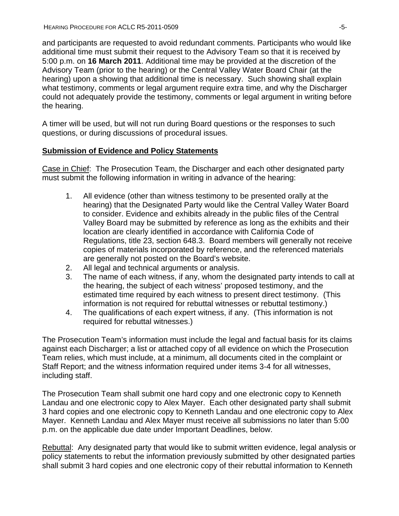and participants are requested to avoid redundant comments. Participants who would like additional time must submit their request to the Advisory Team so that it is received by 5:00 p.m. on **16 March 2011**. Additional time may be provided at the discretion of the Advisory Team (prior to the hearing) or the Central Valley Water Board Chair (at the hearing) upon a showing that additional time is necessary. Such showing shall explain what testimony, comments or legal argument require extra time, and why the Discharger could not adequately provide the testimony, comments or legal argument in writing before the hearing.

A timer will be used, but will not run during Board questions or the responses to such questions, or during discussions of procedural issues.

## **Submission of Evidence and Policy Statements**

Case in Chief: The Prosecution Team, the Discharger and each other designated party must submit the following information in writing in advance of the hearing:

- 1. All evidence (other than witness testimony to be presented orally at the hearing) that the Designated Party would like the Central Valley Water Board to consider. Evidence and exhibits already in the public files of the Central Valley Board may be submitted by reference as long as the exhibits and their location are clearly identified in accordance with California Code of Regulations, title 23, section 648.3. Board members will generally not receive copies of materials incorporated by reference, and the referenced materials are generally not posted on the Board's website.
- 2. All legal and technical arguments or analysis.
- 3. The name of each witness, if any, whom the designated party intends to call at the hearing, the subject of each witness' proposed testimony, and the estimated time required by each witness to present direct testimony. (This information is not required for rebuttal witnesses or rebuttal testimony.)
- 4. The qualifications of each expert witness, if any. (This information is not required for rebuttal witnesses.)

The Prosecution Team's information must include the legal and factual basis for its claims against each Discharger; a list or attached copy of all evidence on which the Prosecution Team relies, which must include, at a minimum, all documents cited in the complaint or Staff Report; and the witness information required under items 3-4 for all witnesses, including staff.

The Prosecution Team shall submit one hard copy and one electronic copy to Kenneth Landau and one electronic copy to Alex Mayer. Each other designated party shall submit 3 hard copies and one electronic copy to Kenneth Landau and one electronic copy to Alex Mayer. Kenneth Landau and Alex Mayer must receive all submissions no later than 5:00 p.m. on the applicable due date under Important Deadlines, below.

Rebuttal: Any designated party that would like to submit written evidence, legal analysis or policy statements to rebut the information previously submitted by other designated parties shall submit 3 hard copies and one electronic copy of their rebuttal information to Kenneth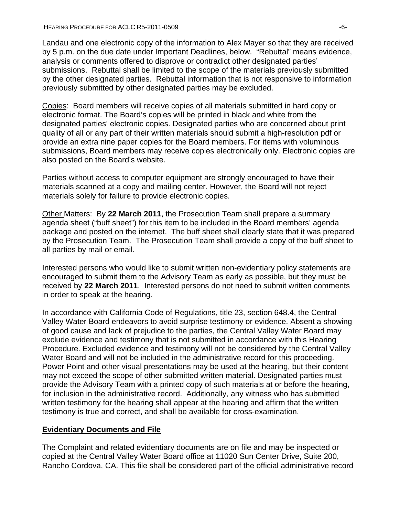Landau and one electronic copy of the information to Alex Mayer so that they are received by 5 p.m. on the due date under Important Deadlines, below. "Rebuttal" means evidence, analysis or comments offered to disprove or contradict other designated parties' submissions. Rebuttal shall be limited to the scope of the materials previously submitted by the other designated parties. Rebuttal information that is not responsive to information previously submitted by other designated parties may be excluded.

Copies: Board members will receive copies of all materials submitted in hard copy or electronic format. The Board's copies will be printed in black and white from the designated parties' electronic copies. Designated parties who are concerned about print quality of all or any part of their written materials should submit a high-resolution pdf or provide an extra nine paper copies for the Board members. For items with voluminous submissions, Board members may receive copies electronically only. Electronic copies are also posted on the Board's website.

Parties without access to computer equipment are strongly encouraged to have their materials scanned at a copy and mailing center. However, the Board will not reject materials solely for failure to provide electronic copies.

Other Matters: By **22 March 2011**, the Prosecution Team shall prepare a summary agenda sheet ("buff sheet") for this item to be included in the Board members' agenda package and posted on the internet. The buff sheet shall clearly state that it was prepared by the Prosecution Team. The Prosecution Team shall provide a copy of the buff sheet to all parties by mail or email.

Interested persons who would like to submit written non-evidentiary policy statements are encouraged to submit them to the Advisory Team as early as possible, but they must be received by **22 March 2011**. Interested persons do not need to submit written comments in order to speak at the hearing.

In accordance with California Code of Regulations, title 23, section 648.4, the Central Valley Water Board endeavors to avoid surprise testimony or evidence. Absent a showing of good cause and lack of prejudice to the parties, the Central Valley Water Board may exclude evidence and testimony that is not submitted in accordance with this Hearing Procedure. Excluded evidence and testimony will not be considered by the Central Valley Water Board and will not be included in the administrative record for this proceeding. Power Point and other visual presentations may be used at the hearing, but their content may not exceed the scope of other submitted written material. Designated parties must provide the Advisory Team with a printed copy of such materials at or before the hearing, for inclusion in the administrative record. Additionally, any witness who has submitted written testimony for the hearing shall appear at the hearing and affirm that the written testimony is true and correct, and shall be available for cross-examination.

## **Evidentiary Documents and File**

The Complaint and related evidentiary documents are on file and may be inspected or copied at the Central Valley Water Board office at 11020 Sun Center Drive, Suite 200, Rancho Cordova, CA. This file shall be considered part of the official administrative record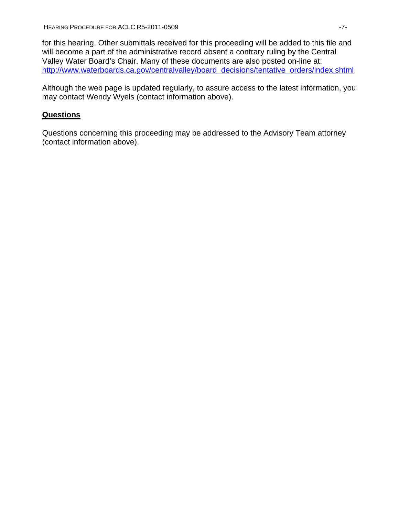for this hearing. Other submittals received for this proceeding will be added to this file and will become a part of the administrative record absent a contrary ruling by the Central Valley Water Board's Chair. Many of these documents are also posted on-line at: [http://www.waterboards.ca.gov/centralvalley/board\\_decisions/tentative\\_orders/index.shtml](http://www.waterboards.ca.gov/centralvalley/board_decisions/tentative_orders/index.shtml)

Although the web page is updated regularly, to assure access to the latest information, you may contact Wendy Wyels (contact information above).

# **Questions**

Questions concerning this proceeding may be addressed to the Advisory Team attorney (contact information above).